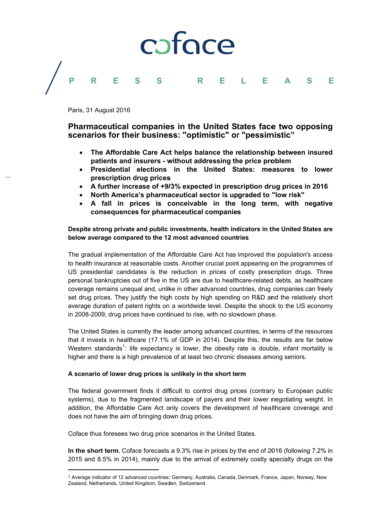## coface Þ R L F E F S Δ

Paris, 31 August 2016

Pharmaceutical companies in the United States face two opposing scenarios for their business: "optimistic" or "pessimistic"

- The Affordable Care Act helps balance the relationship between insured patients and insurers - without addressing the price problem
- Presidential elections in the United States: measures to lower  $\bullet$ prescription drug prices
- A further increase of +9/3% expected in prescription drug prices in 2016
- North America's pharmaceutical sector is upgraded to "low risk"
- A fall in prices is conceivable in the long term, with negative consequences for pharmaceutical companies

# Despite strong private and public investments, health indicators in the United States are below average compared to the 12 most advanced countries

The gradual implementation of the Affordable Care Act has improved the population's access to health insurance at reasonable costs. Another crucial point appearing on the programmes of US presidential candidates is the reduction in prices of costly prescription drugs. Three personal bankruptcies out of five in the US are due to healthcare-related debts, as healthcare coverage remains unequal and, unlike in other advanced countries, drug companies can freely set drug prices. They justify the high costs by high spending on R&D and the relatively short average duration of patent rights on a worldwide level. Despite the shock to the US economy in 2008-2009, drug prices have continued to rise, with no slowdown phase.

The United States is currently the leader among advanced countries, in terms of the resources that it invests in healthcare (17.1% of GDP in 2014). Despite this, the results are far below Western standards<sup>1</sup>: life expectancy is lower, the obesity rate is double, infant mortality is higher and there is a high prevalence of at least two chronic diseases among seniors.

## A scenario of lower drug prices is unlikely in the short term

The federal government finds it difficult to control drug prices (contrary to European public systems), due to the fragmented landscape of payers and their lower negotiating weight. In addition, the Affordable Care Act only covers the development of healthcare coverage and does not have the aim of bringing down drug prices.

Coface thus foresees two drug price scenarios in the United States.

In the short term, Coface forecasts a 9.3% rise in prices by the end of 2016 (following 7.2% in 2015 and 8.5% in 2014), mainly due to the arrival of extremely costly specialty drugs on the

<sup>&</sup>lt;sup>1</sup> Average indicator of 12 advanced countries: Germany, Australia, Canada, Denmark, France, Japan, Norway, New Zealand, Netherlands, United Kingdom, Sweden, Switzerland